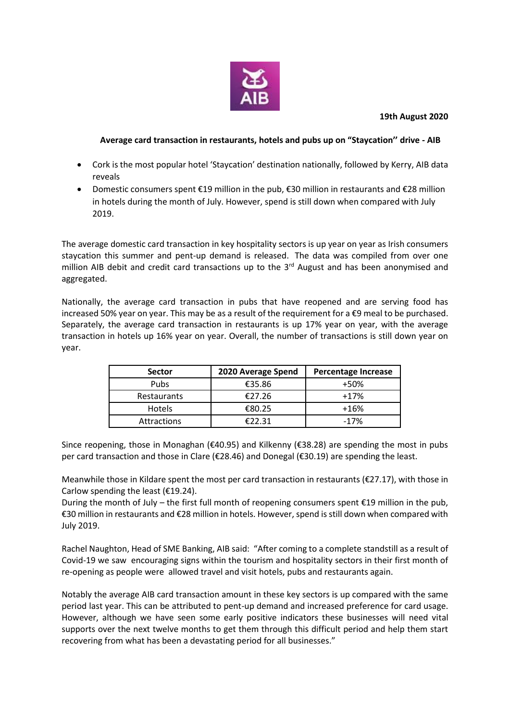

## **19th August 2020**

## **Average card transaction in restaurants, hotels and pubs up on "Staycation'' drive - AIB**

- Cork is the most popular hotel 'Staycation' destination nationally, followed by Kerry, AIB data reveals
- Domestic consumers spent €19 million in the pub, €30 million in restaurants and €28 million in hotels during the month of July. However, spend is still down when compared with July 2019.

The average domestic card transaction in key hospitality sectors is up year on year as Irish consumers staycation this summer and pent-up demand is released. The data was compiled from over one million AIB debit and credit card transactions up to the 3<sup>rd</sup> August and has been anonymised and aggregated.

Nationally, the average card transaction in pubs that have reopened and are serving food has increased 50% year on year. This may be as a result of the requirement for a €9 meal to be purchased. Separately, the average card transaction in restaurants is up 17% year on year, with the average transaction in hotels up 16% year on year. Overall, the number of transactions is still down year on year.

| <b>Sector</b>      | 2020 Average Spend | <b>Percentage Increase</b> |
|--------------------|--------------------|----------------------------|
| <b>Pubs</b>        | €35.86             | +50%                       |
| <b>Restaurants</b> | €27.26             | $+17%$                     |
| Hotels             | €80.25             | $+16%$                     |
| <b>Attractions</b> | €22.31             | $-17%$                     |

Since reopening, those in Monaghan ( $\epsilon$ 40.95) and Kilkenny ( $\epsilon$ 38.28) are spending the most in pubs per card transaction and those in Clare (€28.46) and Donegal (€30.19) are spending the least.

Meanwhile those in Kildare spent the most per card transaction in restaurants (€27.17), with those in Carlow spending the least (€19.24).

During the month of July – the first full month of reopening consumers spent €19 million in the pub, €30 million in restaurants and €28 million in hotels. However, spend is still down when compared with July 2019.

Rachel Naughton, Head of SME Banking, AIB said: "After coming to a complete standstill as a result of Covid-19 we saw encouraging signs within the tourism and hospitality sectors in their first month of re-opening as people were allowed travel and visit hotels, pubs and restaurants again.

Notably the average AIB card transaction amount in these key sectors is up compared with the same period last year. This can be attributed to pent-up demand and increased preference for card usage. However, although we have seen some early positive indicators these businesses will need vital supports over the next twelve months to get them through this difficult period and help them start recovering from what has been a devastating period for all businesses."